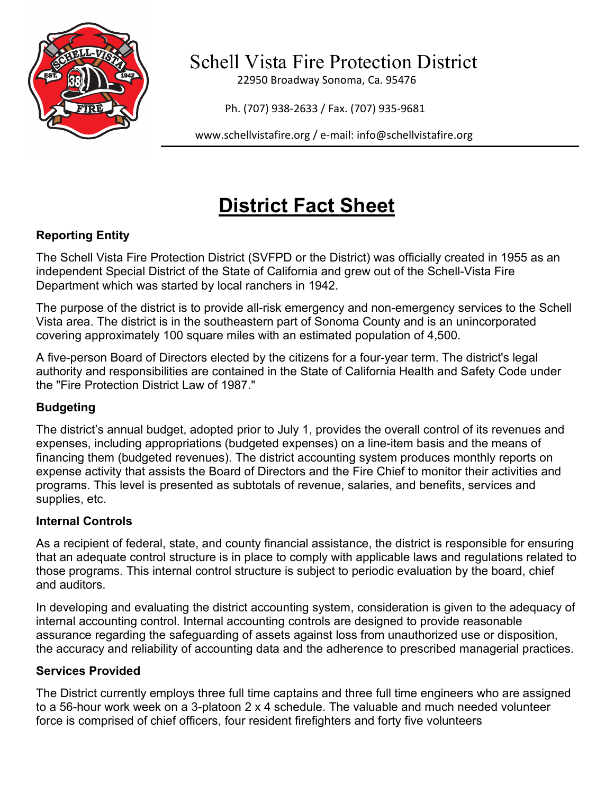

Schell Vista Fire Protection District

22950 Broadway Sonoma, Ca. 95476

Ph. (707) 938-2633 / Fax. (707) 935-9681

[www.schellvistafire.org](http://www.schellvistafire.com/) / e-mail: info@schellvistafire.org

# **District Fact Sheet**

## **Reporting Entity**

The Schell Vista Fire Protection District (SVFPD or the District) was officially created in 1955 as an independent Special District of the State of California and grew out of the Schell-Vista Fire Department which was started by local ranchers in 1942.

The purpose of the district is to provide all-risk emergency and non-emergency services to the Schell Vista area. The district is in the southeastern part of Sonoma County and is an unincorporated covering approximately 100 square miles with an estimated population of 4,500.

A five-person Board of Directors elected by the citizens for a four-year term. The district's legal authority and responsibilities are contained in the State of California Health and Safety Code under the "Fire Protection District Law of 1987."

## **Budgeting**

The district's annual budget, adopted prior to July 1, provides the overall control of its revenues and expenses, including appropriations (budgeted expenses) on a line-item basis and the means of financing them (budgeted revenues). The district accounting system produces monthly reports on expense activity that assists the Board of Directors and the Fire Chief to monitor their activities and programs. This level is presented as subtotals of revenue, salaries, and benefits, services and supplies, etc.

### **Internal Controls**

As a recipient of federal, state, and county financial assistance, the district is responsible for ensuring that an adequate control structure is in place to comply with applicable laws and regulations related to those programs. This internal control structure is subject to periodic evaluation by the board, chief and auditors.

In developing and evaluating the district accounting system, consideration is given to the adequacy of internal accounting control. Internal accounting controls are designed to provide reasonable assurance regarding the safeguarding of assets against loss from unauthorized use or disposition, the accuracy and reliability of accounting data and the adherence to prescribed managerial practices.

### **Services Provided**

The District currently employs three full time captains and three full time engineers who are assigned to a 56-hour work week on a 3-platoon 2 x 4 schedule. The valuable and much needed volunteer force is comprised of chief officers, four resident firefighters and forty five volunteers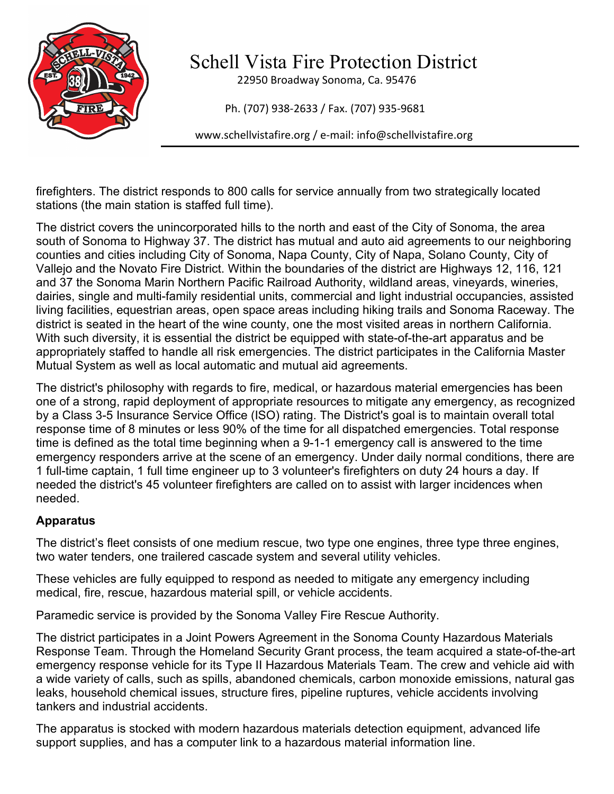

Schell Vista Fire Protection District

22950 Broadway Sonoma, Ca. 95476

Ph. (707) 938-2633 / Fax. (707) 935-9681

[www.schellvistafire.org](http://www.schellvistafire.com/) / e-mail: info@schellvistafire.org

firefighters. The district responds to 800 calls for service annually from two strategically located stations (the main station is staffed full time).

The district covers the unincorporated hills to the north and east of the City of Sonoma, the area south of Sonoma to Highway 37. The district has mutual and auto aid agreements to our neighboring counties and cities including City of Sonoma, Napa County, City of Napa, Solano County, City of Vallejo and the Novato Fire District. Within the boundaries of the district are Highways 12, 116, 121 and 37 the Sonoma Marin Northern Pacific Railroad Authority, wildland areas, vineyards, wineries, dairies, single and multi-family residential units, commercial and light industrial occupancies, assisted living facilities, equestrian areas, open space areas including hiking trails and Sonoma Raceway. The district is seated in the heart of the wine county, one the most visited areas in northern California. With such diversity, it is essential the district be equipped with state-of-the-art apparatus and be appropriately staffed to handle all risk emergencies. The district participates in the California Master Mutual System as well as local automatic and mutual aid agreements.

The district's philosophy with regards to fire, medical, or hazardous material emergencies has been one of a strong, rapid deployment of appropriate resources to mitigate any emergency, as recognized by a Class 3-5 Insurance Service Office (ISO) rating. The District's goal is to maintain overall total response time of 8 minutes or less 90% of the time for all dispatched emergencies. Total response time is defined as the total time beginning when a 9-1-1 emergency call is answered to the time emergency responders arrive at the scene of an emergency. Under daily normal conditions, there are 1 full-time captain, 1 full time engineer up to 3 volunteer's firefighters on duty 24 hours a day. If needed the district's 45 volunteer firefighters are called on to assist with larger incidences when needed.

### **Apparatus**

The district's fleet consists of one medium rescue, two type one engines, three type three engines, two water tenders, one trailered cascade system and several utility vehicles.

These vehicles are fully equipped to respond as needed to mitigate any emergency including medical, fire, rescue, hazardous material spill, or vehicle accidents.

Paramedic service is provided by the Sonoma Valley Fire Rescue Authority.

The district participates in a Joint Powers Agreement in the Sonoma County Hazardous Materials Response Team. Through the Homeland Security Grant process, the team acquired a state-of-the-art emergency response vehicle for its Type II Hazardous Materials Team. The crew and vehicle aid with a wide variety of calls, such as spills, abandoned chemicals, carbon monoxide emissions, natural gas leaks, household chemical issues, structure fires, pipeline ruptures, vehicle accidents involving tankers and industrial accidents.

The apparatus is stocked with modern hazardous materials detection equipment, advanced life support supplies, and has a computer link to a hazardous material information line.